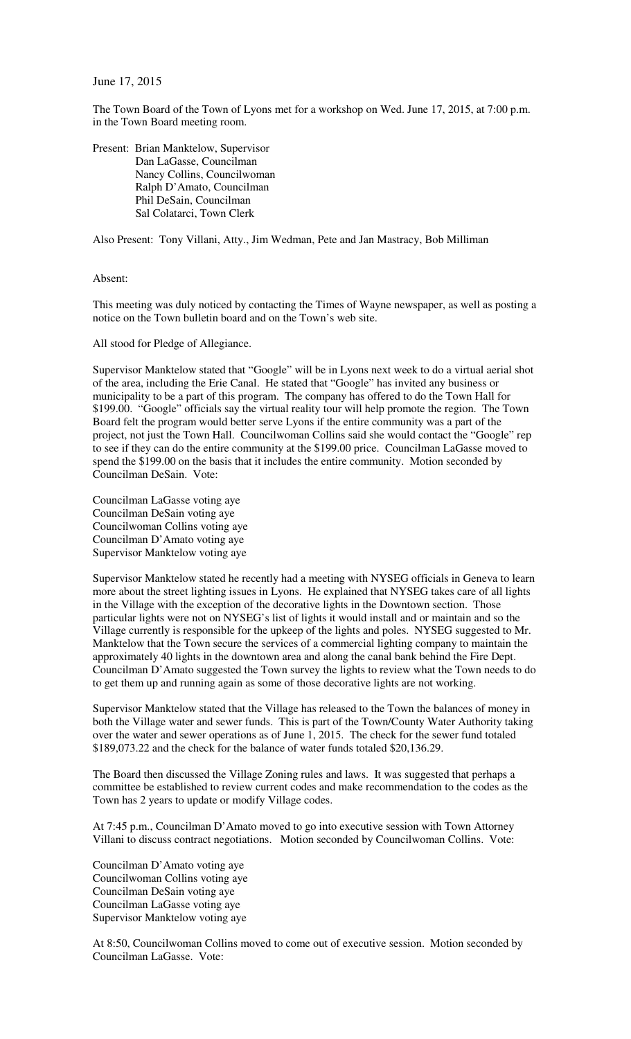## June 17, 2015

The Town Board of the Town of Lyons met for a workshop on Wed. June 17, 2015, at 7:00 p.m. in the Town Board meeting room.

Present: Brian Manktelow, Supervisor Dan LaGasse, Councilman Nancy Collins, Councilwoman Ralph D'Amato, Councilman Phil DeSain, Councilman Sal Colatarci, Town Clerk

Also Present: Tony Villani, Atty., Jim Wedman, Pete and Jan Mastracy, Bob Milliman

## Absent:

This meeting was duly noticed by contacting the Times of Wayne newspaper, as well as posting a notice on the Town bulletin board and on the Town's web site.

All stood for Pledge of Allegiance.

Supervisor Manktelow stated that "Google" will be in Lyons next week to do a virtual aerial shot of the area, including the Erie Canal. He stated that "Google" has invited any business or municipality to be a part of this program. The company has offered to do the Town Hall for \$199.00. "Google" officials say the virtual reality tour will help promote the region. The Town Board felt the program would better serve Lyons if the entire community was a part of the project, not just the Town Hall. Councilwoman Collins said she would contact the "Google" rep to see if they can do the entire community at the \$199.00 price. Councilman LaGasse moved to spend the \$199.00 on the basis that it includes the entire community. Motion seconded by Councilman DeSain. Vote:

Councilman LaGasse voting aye Councilman DeSain voting aye Councilwoman Collins voting aye Councilman D'Amato voting aye Supervisor Manktelow voting aye

Supervisor Manktelow stated he recently had a meeting with NYSEG officials in Geneva to learn more about the street lighting issues in Lyons. He explained that NYSEG takes care of all lights in the Village with the exception of the decorative lights in the Downtown section. Those particular lights were not on NYSEG's list of lights it would install and or maintain and so the Village currently is responsible for the upkeep of the lights and poles. NYSEG suggested to Mr. Manktelow that the Town secure the services of a commercial lighting company to maintain the approximately 40 lights in the downtown area and along the canal bank behind the Fire Dept. Councilman D'Amato suggested the Town survey the lights to review what the Town needs to do to get them up and running again as some of those decorative lights are not working.

Supervisor Manktelow stated that the Village has released to the Town the balances of money in both the Village water and sewer funds. This is part of the Town/County Water Authority taking over the water and sewer operations as of June 1, 2015. The check for the sewer fund totaled \$189,073.22 and the check for the balance of water funds totaled \$20,136.29.

The Board then discussed the Village Zoning rules and laws. It was suggested that perhaps a committee be established to review current codes and make recommendation to the codes as the Town has 2 years to update or modify Village codes.

At 7:45 p.m., Councilman D'Amato moved to go into executive session with Town Attorney Villani to discuss contract negotiations. Motion seconded by Councilwoman Collins. Vote:

Councilman D'Amato voting aye Councilwoman Collins voting aye Councilman DeSain voting aye Councilman LaGasse voting aye Supervisor Manktelow voting aye

At 8:50, Councilwoman Collins moved to come out of executive session. Motion seconded by Councilman LaGasse. Vote: